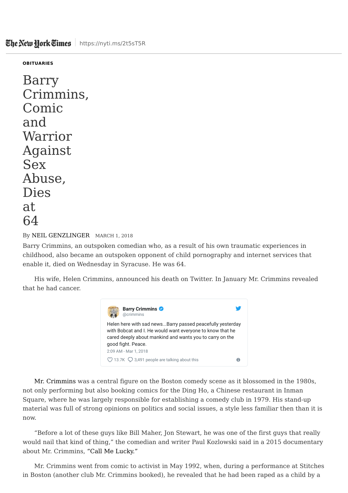## **OBITUARIES**

Barry Crimmins, Comic and Warrior Against Sex Abuse, Dies at 64

## By NEIL GENZLINGER MARCH 1, 2018

Barry Crimmins, an outspoken comedian who, as a result of his own traumatic experiences in childhood, also became an outspoken opponent of child pornography and internet services that enable it, died on Wednesday in Syracuse. He was 64.

His wife, Helen Crimmins, announced his death on Twitter. In January Mr. Crimmins revealed that he had cancer.



Mr. Crimmins was a central figure on the Boston comedy scene as it blossomed in the 1980s, not only performing but also booking comics for the Ding Ho, a Chinese restaurant in Inman Square, where he was largely responsible for establishing a comedy club in 1979. His stand-up material was full of strong opinions on politics and social issues, a style less familiar then than it is now.

"Before a lot of these guys like Bill Maher, Jon Stewart, he was one of the first guys that really would nail that kind of thing," the comedian and writer Paul Kozlowski said in a 2015 documentary about Mr. Crimmins, "Call Me Lucky."

Mr. Crimmins went from comic to activist in May 1992, when, during a performance at Stitches in Boston (another club Mr. Crimmins booked), he revealed that he had been raped as a child by a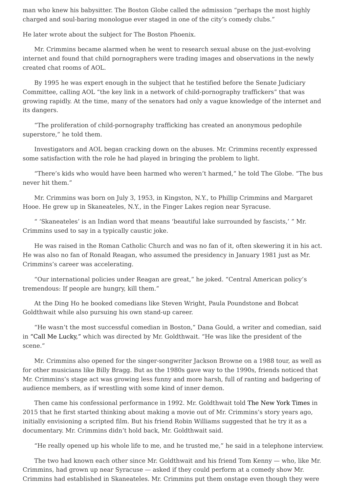man who knew his babysitter. The Boston Globe called the admission "perhaps the most highly charged and soul-baring monologue ever staged in one of the city's comedy clubs."

He later wrote about the subject for The Boston Phoenix.

Mr. Crimmins became alarmed when he went to research sexual abuse on the just-evolving internet and found that child pornographers were trading images and observations in the newly created chat rooms of AOL.

By 1995 he was expert enough in the subject that he testified before the Senate Judiciary Committee, calling AOL "the key link in a network of child-pornography traffickers" that was growing rapidly. At the time, many of the senators had only a vague knowledge of the internet and its dangers.

"The proliferation of child-pornography trafficking has created an anonymous pedophile superstore," he told them.

Investigators and AOL began cracking down on the abuses. Mr. Crimmins recently expressed some satisfaction with the role he had played in bringing the problem to light.

"There's kids who would have been harmed who weren't harmed," he told The Globe. "The bus never hit them."

Mr. Crimmins was born on July 3, 1953, in Kingston, N.Y., to Phillip Crimmins and Margaret Hooe. He grew up in Skaneateles, N.Y., in the Finger Lakes region near Syracuse.

" 'Skaneateles' is an Indian word that means 'beautiful lake surrounded by fascists,' " Mr. Crimmins used to say in a typically caustic joke.

He was raised in the Roman Catholic Church and was no fan of it, often skewering it in his act. He was also no fan of Ronald Reagan, who assumed the presidency in January 1981 just as Mr. Crimmins's career was accelerating.

"Our international policies under Reagan are great," he joked. "Central American policy's tremendous: If people are hungry, kill them."

At the Ding Ho he booked comedians like Steven Wright, Paula Poundstone and Bobcat Goldthwait while also pursuing his own stand-up career.

"He wasn't the most successful comedian in Boston," Dana Gould, a writer and comedian, said in "Call Me Lucky," which was directed by Mr. Goldthwait. "He was like the president of the scene."

Mr. Crimmins also opened for the singer-songwriter Jackson Browne on a 1988 tour, as well as for other musicians like Billy Bragg. But as the 1980s gave way to the 1990s, friends noticed that Mr. Crimmins's stage act was growing less funny and more harsh, full of ranting and badgering of audience members, as if wrestling with some kind of inner demon.

Then came his confessional performance in 1992. Mr. Goldthwait told The New York Times in 2015 that he first started thinking about making a movie out of Mr. Crimmins's story years ago, initially envisioning a scripted film. But his friend Robin Williams suggested that he try it as a documentary. Mr. Crimmins didn't hold back, Mr. Goldthwait said.

"He really opened up his whole life to me, and he trusted me," he said in a telephone interview.

The two had known each other since Mr. Goldthwait and his friend Tom Kenny — who, like Mr. Crimmins, had grown up near Syracuse — asked if they could perform at a comedy show Mr. Crimmins had established in Skaneateles. Mr. Crimmins put them onstage even though they were